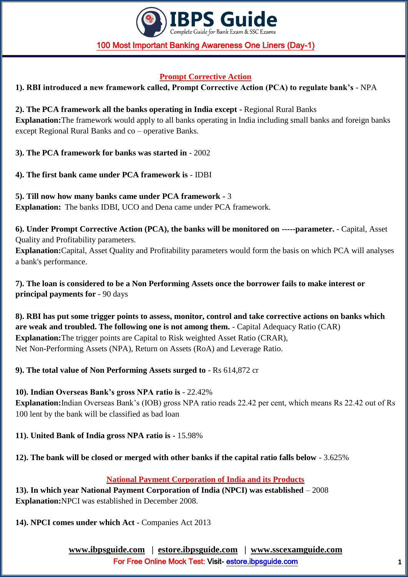

### **Prompt Corrective Action**

**1). RBI introduced a new framework called, Prompt Corrective Action (PCA) to regulate bank's** - NPA

### **2). The PCA framework all the banks operating in India except -** Regional Rural Banks

**Explanation:**The framework would apply to all banks operating in India including small banks and foreign banks except Regional Rural Banks and co – operative Banks.

**3). The PCA framework for banks was started in** - 2002

**4). The first bank came under PCA framework is** - IDBI

**5). Till now how many banks came under PCA framework -** 3 **Explanation:** The banks IDBI, UCO and Dena came under PCA framework.

**6). Under Prompt Corrective Action (PCA), the banks will be monitored on -----parameter.** - Capital, Asset Quality and Profitability parameters. **Explanation:**Capital, Asset Quality and Profitability parameters would form the basis on which PCA will analyses a bank's performance.

**7). The loan is considered to be a Non Performing Assets once the borrower fails to make interest or principal payments for** - 90 days

**8). RBI has put some trigger points to assess, monitor, control and take corrective actions on banks which are weak and troubled. The following one is not among them.** - Capital Adequacy Ratio (CAR) **Explanation:**The trigger points are Capital to Risk weighted Asset Ratio (CRAR), Net Non-Performing Assets (NPA), Return on Assets (RoA) and Leverage Ratio.

**9). The total value of Non Performing Assets surged to** - Rs 614,872 cr

## **10). Indian Overseas Bank's gross NPA ratio is** - 22.42%

**Explanation:**Indian Overseas Bank's (IOB) gross NPA ratio reads 22.42 per cent, which means Rs 22.42 out of Rs 100 lent by the bank will be classified as bad loan

**11). United Bank of India gross NPA ratio is -** 15.98%

## **12). The bank will be closed or merged with other banks if the capital ratio falls below** - 3.625%

## **National Payment Corporation of India and its Products**

**13). In which year National Payment Corporation of India (NPCI) was established** – 2008 **Explanation:**NPCI was established in December 2008.

**14). NPCI comes under which Act** - Companies Act 2013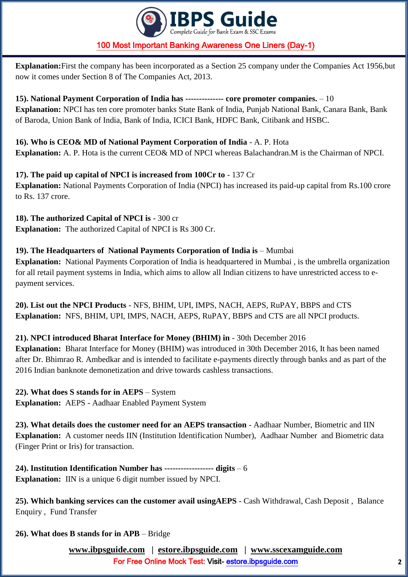

**Explanation:**First the company has been incorporated as a Section 25 company under the Companies Act 1956,but now it comes under Section 8 of The Companies Act, 2013.

**15). National Payment Corporation of India has -------------- core promoter companies.** – 10 **Explanation:** NPCI has ten core promoter banks State Bank of India, Punjab National Bank, Canara Bank, Bank of Baroda, Union Bank of India, Bank of India, ICICI Bank, HDFC Bank, Citibank and HSBC.

**16). Who is CEO& MD of National Payment Corporation of India** - A. P. Hota **Explanation:** A. P. Hota is the current CEO& MD of NPCI whereas Balachandran.M is the Chairman of NPCI.

## **17). The paid up capital of NPCI is increased from 100Cr to** - 137 Cr

**Explanation:** National Payments Corporation of India (NPCI) has increased its paid-up capital from Rs.100 crore to Rs. 137 crore.

**18). The authorized Capital of NPCI is** - 300 cr **Explanation:** The authorized Capital of NPCI is Rs 300 Cr.

# **19). The Headquarters of National Payments Corporation of India is** – Mumbai

**Explanation:** National Payments Corporation of India is headquartered in Mumbai , is the umbrella organization for all retail payment systems in India, which aims to allow all Indian citizens to have unrestricted access to epayment services.

**20). List out the NPCI Products** - NFS, BHIM, UPI, IMPS, NACH, AEPS, RuPAY, BBPS and CTS **Explanation:** NFS, BHIM, UPI, IMPS, NACH, AEPS, RuPAY, BBPS and CTS are all NPCI products.

# **21). NPCI introduced Bharat Interface for Money (BHIM) in** - 30th December 2016

**Explanation:** Bharat Interface for Money (BHIM) was introduced in 30th December 2016, It has been named after Dr. Bhimrao R. Ambedkar and is intended to facilitate e-payments directly through banks and as part of the 2016 Indian banknote demonetization and drive towards cashless transactions.

**22). What does S stands for in AEPS** – System **Explanation:** AEPS - Aadhaar Enabled Payment System

**23). What details does the customer need for an AEPS transaction** - Aadhaar Number, Biometric and IIN **Explanation:** A customer needs IIN (Institution Identification Number), Aadhaar Number and Biometric data (Finger Print or Iris) for transaction.

**24). Institution Identification Number has ------------------ digits** – 6 **Explanation:** IIN is a unique 6 digit number issued by NPCI.

**25). Which banking services can the customer avail usingAEPS** - Cash Withdrawal, Cash Deposit , Balance Enquiry , Fund Transfer

## **26). What does B stands for in APB** – Bridge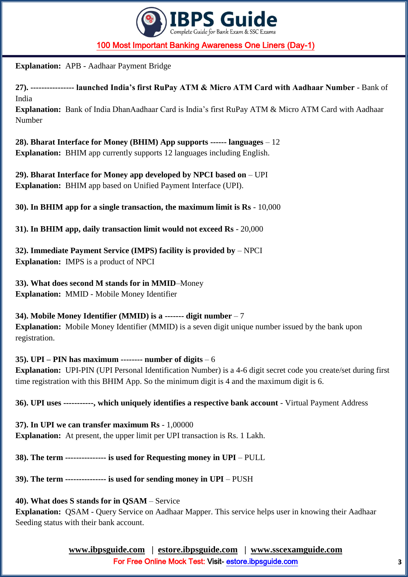

**Explanation:** APB - Aadhaar Payment Bridge

**27). ---------------- launched India's first RuPay ATM & Micro ATM Card with Aadhaar Number** - Bank of India

**Explanation:** Bank of India DhanAadhaar Card is India's first RuPay ATM & Micro ATM Card with Aadhaar Number

**28). Bharat Interface for Money (BHIM) App supports ------ languages** – 12 **Explanation:** BHIM app currently supports 12 languages including English.

**29). Bharat Interface for Money app developed by NPCI based on** – UPI **Explanation:** BHIM app based on Unified Payment Interface (UPI).

**30). In BHIM app for a single transaction, the maximum limit is Rs** - 10,000

**31). In BHIM app, daily transaction limit would not exceed Rs** - 20,000

**32). Immediate Payment Service (IMPS) facility is provided by** – NPCI **Explanation:** IMPS is a product of NPCI

**33). What does second M stands for in MMID**–Money **Explanation:** MMID - Mobile Money Identifier

**34). Mobile Money Identifier (MMID) is a ------- digit number** – 7 **Explanation:** Mobile Money Identifier (MMID) is a seven digit unique number issued by the bank upon registration.

**35). UPI – PIN has maximum -------- number of digits** – 6 **Explanation:** UPI-PIN (UPI Personal Identification Number) is a 4-6 digit secret code you create/set during first time registration with this BHIM App. So the minimum digit is 4 and the maximum digit is 6.

**36). UPI uses -----------, which uniquely identifies a respective bank account** - Virtual Payment Address

**37). In UPI we can transfer maximum Rs** - 1,00000 **Explanation:** At present, the upper limit per UPI transaction is Rs. 1 Lakh.

**38). The term --------------- is used for Requesting money in UPI** – PULL

**39). The term --------------- is used for sending money in UPI** – PUSH

**40). What does S stands for in QSAM** – Service

**Explanation:** QSAM - Query Service on Aadhaar Mapper. This service helps user in knowing their Aadhaar Seeding status with their bank account.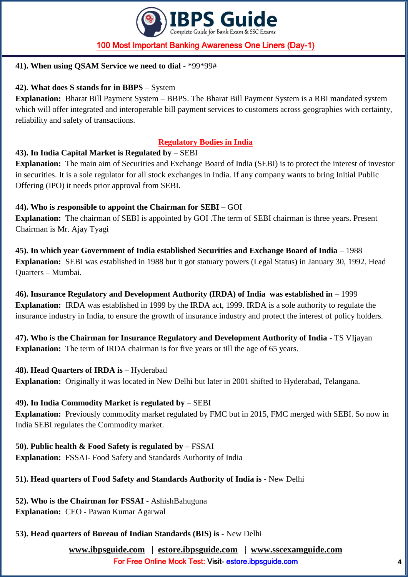

### **41). When using QSAM Service we need to dial** - \*99\*99#

### **42). What does S stands for in BBPS** – System

**Explanation:** Bharat Bill Payment System – BBPS. The Bharat Bill Payment System is a RBI mandated system which will offer integrated and interoperable bill payment services to customers across geographies with certainty, reliability and safety of transactions.

### **Regulatory Bodies in India**

### **43). In India Capital Market is Regulated by** – SEBI

**Explanation:** The main aim of Securities and Exchange Board of India (SEBI) is to protect the interest of investor in securities. It is a sole regulator for all stock exchanges in India. If any company wants to bring Initial Public Offering (IPO) it needs prior approval from SEBI.

### **44). Who is responsible to appoint the Chairman for SEBI** – GOI

**Explanation:** The chairman of SEBI is appointed by GOI .The term of SEBI chairman is three years. Present Chairman is Mr. Ajay Tyagi

**45). In which year Government of India established Securities and Exchange Board of India** – 1988 **Explanation:** SEBI was established in 1988 but it got statuary powers (Legal Status) in January 30, 1992. Head Quarters – Mumbai.

**46). Insurance Regulatory and Development Authority (IRDA) of India was established in** – 1999 **Explanation:** IRDA was established in 1999 by the IRDA act, 1999. IRDA is a sole authority to regulate the insurance industry in India, to ensure the growth of insurance industry and protect the interest of policy holders.

**47). Who is the Chairman for Insurance Regulatory and Development Authority of India** - TS VIjayan **Explanation:** The term of IRDA chairman is for five years or till the age of 65 years.

### **48). Head Quarters of IRDA is** – Hyderabad

**Explanation:** Originally it was located in New Delhi but later in 2001 shifted to Hyderabad, Telangana.

### **49). In India Commodity Market is regulated by** – SEBI

**Explanation:** Previously commodity market regulated by FMC but in 2015, FMC merged with SEBI. So now in India SEBI regulates the Commodity market.

**50). Public health & Food Safety is regulated by** – FSSAI **Explanation:** FSSAI- Food Safety and Standards Authority of India

## **51). Head quarters of Food Safety and Standards Authority of India is** - New Delhi

**52). Who is the Chairman for FSSAI** - AshishBahuguna **Explanation:** CEO - Pawan Kumar Agarwal

# **53). Head quarters of Bureau of Indian Standards (BIS) is** - New Delhi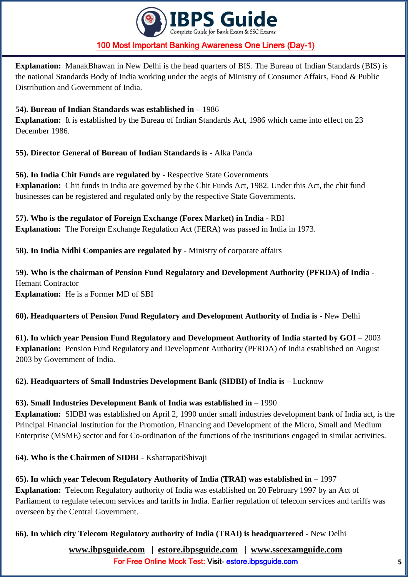

**Explanation:** ManakBhawan in New Delhi is the head quarters of BIS. The Bureau of Indian Standards (BIS) is the national Standards Body of India working under the aegis of Ministry of Consumer Affairs, Food & Public Distribution and Government of India.

### **54). Bureau of Indian Standards was established in** – 1986

**Explanation:** It is established by the Bureau of Indian Standards Act, 1986 which came into effect on 23 December 1986.

**55). Director General of Bureau of Indian Standards is** - Alka Panda

**56). In India Chit Funds are regulated by** - Respective State Governments **Explanation:** Chit funds in India are governed by the Chit Funds Act, 1982. Under this Act, the chit fund businesses can be registered and regulated only by the respective State Governments.

**57). Who is the regulator of Foreign Exchange (Forex Market) in India** - RBI **Explanation:** The Foreign Exchange Regulation Act (FERA) was passed in India in 1973.

**58). In India Nidhi Companies are regulated by** - Ministry of corporate affairs

**59). Who is the chairman of Pension Fund Regulatory and Development Authority (PFRDA) of India** - Hemant Contractor **Explanation:** He is a Former MD of SBI

## **60). Headquarters of Pension Fund Regulatory and Development Authority of India is** - New Delhi

**61). In which year Pension Fund Regulatory and Development Authority of India started by GOI** – 2003 **Explanation:** Pension Fund Regulatory and Development Authority (PFRDA) of India established on August 2003 by Government of India.

**62). Headquarters of Small Industries Development Bank (SIDBI) of India is** – Lucknow

### **63). Small Industries Development Bank of India was established in** – 1990

**Explanation:** SIDBI was established on April 2, 1990 under small industries development bank of India act, is the Principal Financial Institution for the Promotion, Financing and Development of the Micro, Small and Medium Enterprise (MSME) sector and for Co-ordination of the functions of the institutions engaged in similar activities.

**64). Who is the Chairmen of SIDBI** - KshatrapatiShivaji

## **65). In which year Telecom Regulatory Authority of India (TRAI) was established in** – 1997

**Explanation:** Telecom Regulatory authority of India was established on 20 February 1997 by an Act of Parliament to regulate telecom services and tariffs in India. Earlier regulation of telecom services and tariffs was overseen by the Central Government.

**66). In which city Telecom Regulatory authority of India (TRAI) is headquartered** - New Delhi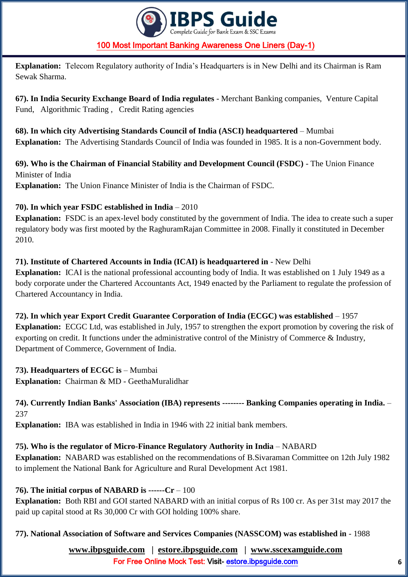

**Explanation:** Telecom Regulatory authority of India's Headquarters is in New Delhi and its Chairman is Ram Sewak Sharma.

**67). In India Security Exchange Board of India regulates** - Merchant Banking companies, Venture Capital Fund, Algorithmic Trading , Credit Rating agencies

**68). In which city Advertising Standards Council of India (ASCI) headquartered** – Mumbai **Explanation:** The Advertising Standards Council of India was founded in 1985. It is a non-Government body.

**69). Who is the Chairman of Financial Stability and Development Council (FSDC)** - The Union Finance Minister of India **Explanation:** The Union Finance Minister of India is the Chairman of FSDC.

### **70). In which year FSDC established in India** – 2010

**Explanation:** FSDC is an apex-level body constituted by the government of India. The idea to create such a super regulatory body was first mooted by the RaghuramRajan Committee in 2008. Finally it constituted in December 2010.

**71). Institute of Chartered Accounts in India (ICAI) is headquartered in** - New Delhi **Explanation:** ICAI is the national professional accounting body of India. It was established on 1 July 1949 as a body corporate under the Chartered Accountants Act, 1949 enacted by the Parliament to regulate the profession of Chartered Accountancy in India.

**72). In which year Export Credit Guarantee Corporation of India (ECGC) was established** – 1957 **Explanation:** ECGC Ltd, was established in July, 1957 to strengthen the export promotion by covering the risk of exporting on credit. It functions under the administrative control of the Ministry of Commerce & Industry, Department of Commerce, Government of India.

## **73). Headquarters of ECGC is** – Mumbai

**Explanation:** Chairman & MD - GeethaMuralidhar

### **74). Currently Indian Banks' Association (IBA) represents -------- Banking Companies operating in India.** – 237

**Explanation:** IBA was established in India in 1946 with 22 initial bank members.

## **75). Who is the regulator of Micro-Finance Regulatory Authority in India** – NABARD

**Explanation:** NABARD was established on the recommendations of B.Sivaraman Committee on 12th July 1982 to implement the National Bank for Agriculture and Rural Development Act 1981.

## **76). The initial corpus of NABARD is ------Cr** – 100

**Explanation:** Both RBI and GOI started NABARD with an initial corpus of Rs 100 cr. As per 31st may 2017 the paid up capital stood at Rs 30,000 Cr with GOI holding 100% share.

**77). National Association of Software and Services Companies (NASSCOM) was established in** - 1988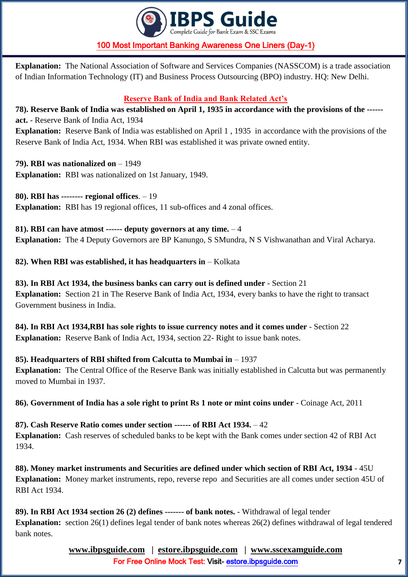

**Explanation:** The National Association of Software and Services Companies (NASSCOM) is a trade association of Indian Information Technology (IT) and Business Process Outsourcing (BPO) industry. HQ: New Delhi.

# **Reserve Bank of India and Bank Related Act's**

**78). Reserve Bank of India was established on April 1, 1935 in accordance with the provisions of the ----- act.** - Reserve Bank of India Act, 1934 **Explanation:** Reserve Bank of India was established on April 1 , 1935 in accordance with the provisions of the Reserve Bank of India Act, 1934. When RBI was established it was private owned entity.

**79). RBI was nationalized on** – 1949 **Explanation:** RBI was nationalized on 1st January, 1949.

**80). RBI has -------- regional offices**. – 19 **Explanation:** RBI has 19 regional offices, 11 sub-offices and 4 zonal offices.

**81). RBI can have atmost ------ deputy governors at any time.** – 4 **Explanation:** The 4 Deputy Governors are BP Kanungo, S SMundra, N S Vishwanathan and Viral Acharya.

**82). When RBI was established, it has headquarters in** – Kolkata

**83). In RBI Act 1934, the business banks can carry out is defined under** - Section 21 **Explanation:** Section 21 in The Reserve Bank of India Act, 1934, every banks to have the right to transact Government business in India.

**84). In RBI Act 1934,RBI has sole rights to issue currency notes and it comes under** - Section 22 **Explanation:** Reserve Bank of India Act, 1934, section 22- Right to issue bank notes.

**85). Headquarters of RBI shifted from Calcutta to Mumbai in** – 1937

**Explanation:** The Central Office of the Reserve Bank was initially established in Calcutta but was permanently moved to Mumbai in 1937.

**86). Government of India has a sole right to print Rs 1 note or mint coins under** - Coinage Act, 2011

**87). Cash Reserve Ratio comes under section ------ of RBI Act 1934.** – 42 **Explanation:** Cash reserves of scheduled banks to be kept with the Bank comes under section 42 of RBI Act 1934.

**88). Money market instruments and Securities are defined under which section of RBI Act, 1934** - 45U **Explanation:** Money market instruments, repo, reverse repo and Securities are all comes under section 45U of RBI Act 1934.

**89). In RBI Act 1934 section 26 (2) defines ------- of bank notes.** - Withdrawal of legal tender **Explanation:** section 26(1) defines legal tender of bank notes whereas 26(2) defines withdrawal of legal tendered bank notes.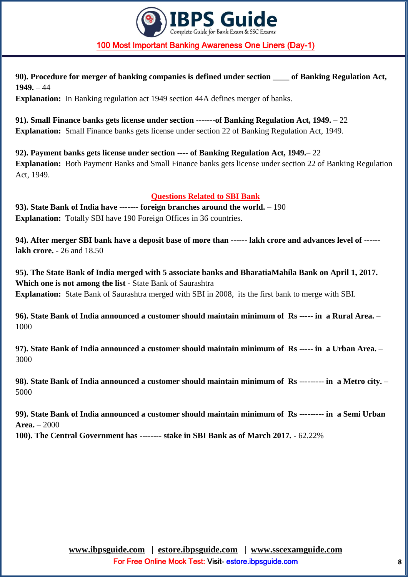

**90). Procedure for merger of banking companies is defined under section \_\_\_\_ of Banking Regulation Act, 1949.** – 44

**Explanation:** In Banking regulation act 1949 section 44A defines merger of banks.

**91). Small Finance banks gets license under section -------of Banking Regulation Act, 1949.** – 22 **Explanation:** Small Finance banks gets license under section 22 of Banking Regulation Act, 1949.

**92). Payment banks gets license under section ---- of Banking Regulation Act, 1949.**– 22 **Explanation:** Both Payment Banks and Small Finance banks gets license under section 22 of Banking Regulation Act, 1949.

### **Questions Related to SBI Bank**

**93). State Bank of India have ------- foreign branches around the world.** – 190 **Explanation:** Totally SBI have 190 Foreign Offices in 36 countries.

**94). After merger SBI bank have a deposit base of more than ------ lakh crore and advances level of ----- lakh crore.** - 26 and 18.50

**95). The State Bank of India merged with 5 associate banks and BharatiaMahila Bank on April 1, 2017. Which one is not among the list** - State Bank of Saurashtra **Explanation:** State Bank of Saurashtra merged with SBI in 2008, its the first bank to merge with SBI.

**96). State Bank of India announced a customer should maintain minimum of Rs ----- in a Rural Area.** – 1000

**97). State Bank of India announced a customer should maintain minimum of Rs ----- in a Urban Area.** – 3000

**98). State Bank of India announced a customer should maintain minimum of Rs --------- in a Metro city.** – 5000

**99). State Bank of India announced a customer should maintain minimum of Rs --------- in a Semi Urban Area.** – 2000

**100). The Central Government has -------- stake in SBI Bank as of March 2017.** - 62.22%